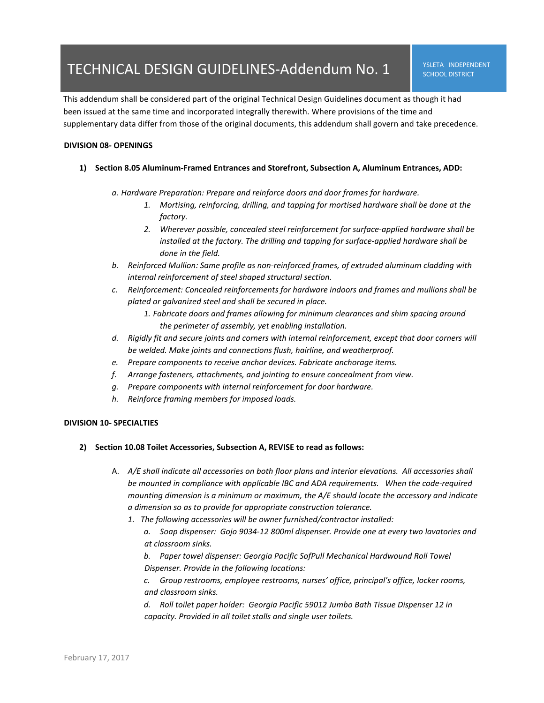# TECHNICAL DESIGN GUIDELINES-Addendum No. 1 WSLETA INDEPENDENT

This addendum shall be considered part of the original Technical Design Guidelines document as though it had been issued at the same time and incorporated integrally therewith. Where provisions of the time and supplementary data differ from those of the original documents, this addendum shall govern and take precedence.

## **DIVISION 08- OPENINGS**

## **1) Section 8.05 Aluminum-Framed Entrances and Storefront, Subsection A, Aluminum Entrances, ADD:**

- *a. Hardware Preparation: Prepare and reinforce doors and door frames for hardware.* 
	- *1. Mortising, reinforcing, drilling, and tapping for mortised hardware shall be done at the factory.*
	- *2. Wherever possible, concealed steel reinforcement for surface-applied hardware shall be installed at the factory. The drilling and tapping for surface-applied hardware shall be done in the field.*
- *b. Reinforced Mullion: Same profile as non-reinforced frames, of extruded aluminum cladding with internal reinforcement of steel shaped structural section.*
- *c. Reinforcement: Concealed reinforcements for hardware indoors and frames and mullions shall be plated or galvanized steel and shall be secured in place.* 
	- *1. Fabricate doors and frames allowing for minimum clearances and shim spacing around the perimeter of assembly, yet enabling installation.*
- *d. Rigidly fit and secure joints and corners with internal reinforcement, except that door corners will be welded. Make joints and connections flush, hairline, and weatherproof.*
- *e. Prepare components to receive anchor devices. Fabricate anchorage items.*
- *f. Arrange fasteners, attachments, and jointing to ensure concealment from view.*
- *g. Prepare components with internal reinforcement for door hardware.*
- *h. Reinforce framing members for imposed loads.*

## **DIVISION 10- SPECIALTIES**

## **2) Section 10.08 Toilet Accessories, Subsection A, REVISE to read as follows:**

- A. *A/E shall indicate all accessories on both floor plans and interior elevations. All accessories shall be mounted in compliance with applicable IBC and ADA requirements. When the code-required mounting dimension is a minimum or maximum, the A/E should locate the accessory and indicate a dimension so as to provide for appropriate construction tolerance.* 
	- *1. The following accessories will be owner furnished/contractor installed:* 
		- *a. Soap dispenser: Gojo 9034-12 800ml dispenser. Provide one at every two lavatories and at classroom sinks.*
		- *b. Paper towel dispenser: Georgia Pacific SofPull Mechanical Hardwound Roll Towel Dispenser. Provide in the following locations:*
		- *c. Group restrooms, employee restrooms, nurses' office, principal's office, locker rooms, and classroom sinks.*
		- *d. Roll toilet paper holder: Georgia Pacific 59012 Jumbo Bath Tissue Dispenser 12 in capacity. Provided in all toilet stalls and single user toilets.*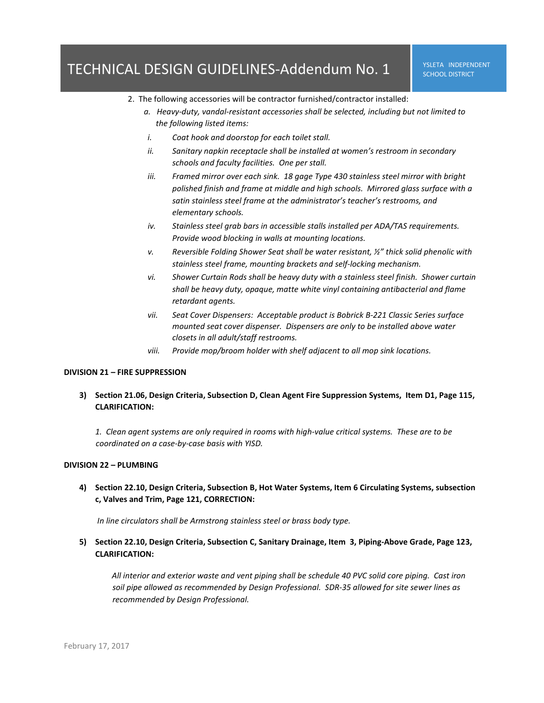- 2. The following accessories will be contractor furnished/contractor installed:
	- *a. Heavy-duty, vandal-resistant accessories shall be selected, including but not limited to the following listed items:*
	- *i. Coat hook and doorstop for each toilet stall.*
	- *ii. Sanitary napkin receptacle shall be installed at women's restroom in secondary schools and faculty facilities. One per stall.*
	- *iii. Framed mirror over each sink. 18 gage Type 430 stainless steel mirror with bright polished finish and frame at middle and high schools. Mirrored glass surface with a satin stainless steel frame at the administrator's teacher's restrooms, and elementary schools.*
	- *iv. Stainless steel grab bars in accessible stalls installed per ADA/TAS requirements. Provide wood blocking in walls at mounting locations.*
	- *v. Reversible Folding Shower Seat shall be water resistant, ½" thick solid phenolic with stainless steel frame, mounting brackets and self-locking mechanism.*
	- *vi. Shower Curtain Rods shall be heavy duty with a stainless steel finish. Shower curtain shall be heavy duty, opaque, matte white vinyl containing antibacterial and flame retardant agents.*
	- *vii. Seat Cover Dispensers: Acceptable product is Bobrick B-221 Classic Series surface mounted seat cover dispenser. Dispensers are only to be installed above water closets in all adult/staff restrooms.*
	- *viii. Provide mop/broom holder with shelf adjacent to all mop sink locations.*

## **DIVISION 21 – FIRE SUPPRESSION**

# **3) Section 21.06, Design Criteria, Subsection D, Clean Agent Fire Suppression Systems, Item D1, Page 115, CLARIFICATION:**

*1. Clean agent systems are only required in rooms with high-value critical systems. These are to be coordinated on a case-by-case basis with YISD.* 

## **DIVISION 22 – PLUMBING**

# **4) Section 22.10, Design Criteria, Subsection B, Hot Water Systems, Item 6 Circulating Systems, subsection c, Valves and Trim, Page 121, CORRECTION:**

*In line circulators shall be Armstrong stainless steel or brass body type.* 

**5) Section 22.10, Design Criteria, Subsection C, Sanitary Drainage, Item 3, Piping-Above Grade, Page 123, CLARIFICATION:**

*All interior and exterior waste and vent piping shall be schedule 40 PVC solid core piping. Cast iron soil pipe allowed as recommended by Design Professional. SDR-35 allowed for site sewer lines as recommended by Design Professional.*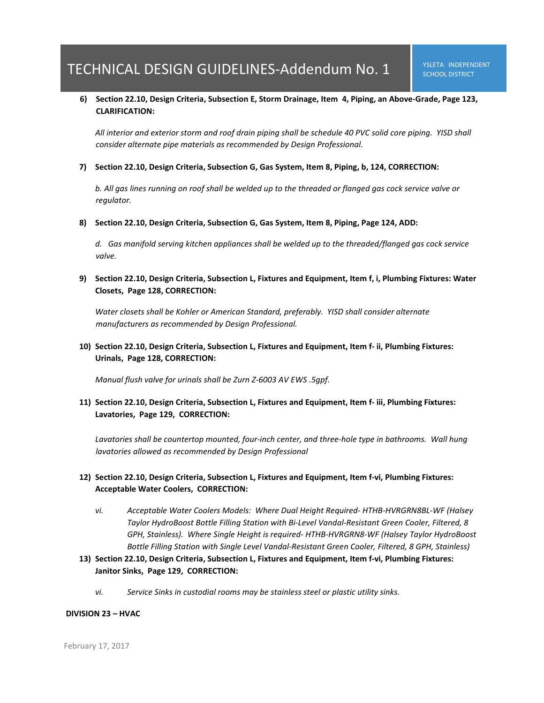# **6) Section 22.10, Design Criteria, Subsection E, Storm Drainage, Item 4, Piping, an Above-Grade, Page 123, CLARIFICATION:**

*All interior and exterior storm and roof drain piping shall be schedule 40 PVC solid core piping. YISD shall consider alternate pipe materials as recommended by Design Professional.* 

## **7) Section 22.10, Design Criteria, Subsection G, Gas System, Item 8, Piping, b, 124, CORRECTION:**

*b. All gas lines running on roof shall be welded up to the threaded or flanged gas cock service valve or regulator.* 

## **8) Section 22.10, Design Criteria, Subsection G, Gas System, Item 8, Piping, Page 124, ADD:**

*d. Gas manifold serving kitchen appliances shall be welded up to the threaded/flanged gas cock service valve.* 

## **9) Section 22.10, Design Criteria, Subsection L, Fixtures and Equipment, Item f, i, Plumbing Fixtures: Water Closets, Page 128, CORRECTION:**

*Water closets shall be Kohler or American Standard, preferably. YISD shall consider alternate manufacturers as recommended by Design Professional.* 

## **10) Section 22.10, Design Criteria, Subsection L, Fixtures and Equipment, Item f- ii, Plumbing Fixtures: Urinals, Page 128, CORRECTION:**

*Manual flush valve for urinals shall be Zurn Z-6003 AV EWS .5gpf.* 

## **11) Section 22.10, Design Criteria, Subsection L, Fixtures and Equipment, Item f- iii, Plumbing Fixtures: Lavatories, Page 129, CORRECTION:**

*Lavatories shall be countertop mounted, four-inch center, and three-hole type in bathrooms. Wall hung lavatories allowed as recommended by Design Professional*

## **12) Section 22.10, Design Criteria, Subsection L, Fixtures and Equipment, Item f-vi, Plumbing Fixtures: Acceptable Water Coolers, CORRECTION:**

- *vi. Acceptable Water Coolers Models: Where Dual Height Required- HTHB-HVRGRN8BL-WF (Halsey Taylor HydroBoost Bottle Filling Station with Bi-Level Vandal-Resistant Green Cooler, Filtered, 8 GPH, Stainless). Where Single Height is required- HTHB-HVRGRN8-WF (Halsey Taylor HydroBoost Bottle Filling Station with Single Level Vandal-Resistant Green Cooler, Filtered, 8 GPH, Stainless)*
- **13) Section 22.10, Design Criteria, Subsection L, Fixtures and Equipment, Item f-vi, Plumbing Fixtures: Janitor Sinks, Page 129, CORRECTION:** 
	- *vi. Service Sinks in custodial rooms may be stainless steel or plastic utility sinks.*

## **DIVISION 23 – HVAC**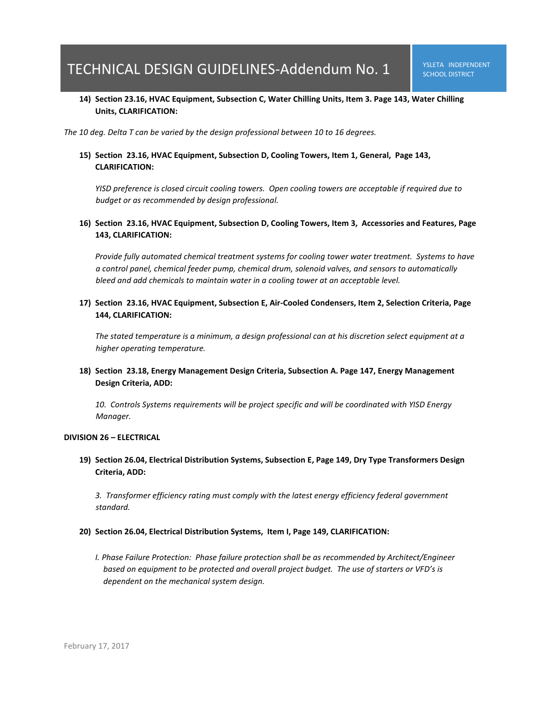# **14) Section 23.16, HVAC Equipment, Subsection C, Water Chilling Units, Item 3. Page 143, Water Chilling Units, CLARIFICATION:**

*The 10 deg. Delta T can be varied by the design professional between 10 to 16 degrees.* 

## **15) Section 23.16, HVAC Equipment, Subsection D, Cooling Towers, Item 1, General, Page 143, CLARIFICATION:**

*YISD preference is closed circuit cooling towers. Open cooling towers are acceptable if required due to budget or as recommended by design professional.* 

## **16) Section 23.16, HVAC Equipment, Subsection D, Cooling Towers, Item 3, Accessories and Features, Page 143, CLARIFICATION:**

*Provide fully automated chemical treatment systems for cooling tower water treatment. Systems to have a control panel, chemical feeder pump, chemical drum, solenoid valves, and sensors to automatically bleed and add chemicals to maintain water in a cooling tower at an acceptable level.* 

**17) Section 23.16, HVAC Equipment, Subsection E, Air-Cooled Condensers, Item 2, Selection Criteria, Page 144, CLARIFICATION:** 

*The stated temperature is a minimum, a design professional can at his discretion select equipment at a higher operating temperature.* 

# **18) Section 23.18, Energy Management Design Criteria, Subsection A. Page 147, Energy Management Design Criteria, ADD:**

*10. Controls Systems requirements will be project specific and will be coordinated with YISD Energy Manager.* 

## **DIVISION 26 – ELECTRICAL**

**19) Section 26.04, Electrical Distribution Systems, Subsection E, Page 149, Dry Type Transformers Design Criteria, ADD:** 

*3. Transformer efficiency rating must comply with the latest energy efficiency federal government standard.* 

## **20) Section 26.04, Electrical Distribution Systems, Item I, Page 149, CLARIFICATION:**

*I. Phase Failure Protection: Phase failure protection shall be as recommended by Architect/Engineer based on equipment to be protected and overall project budget. The use of starters or VFD's is dependent on the mechanical system design.*